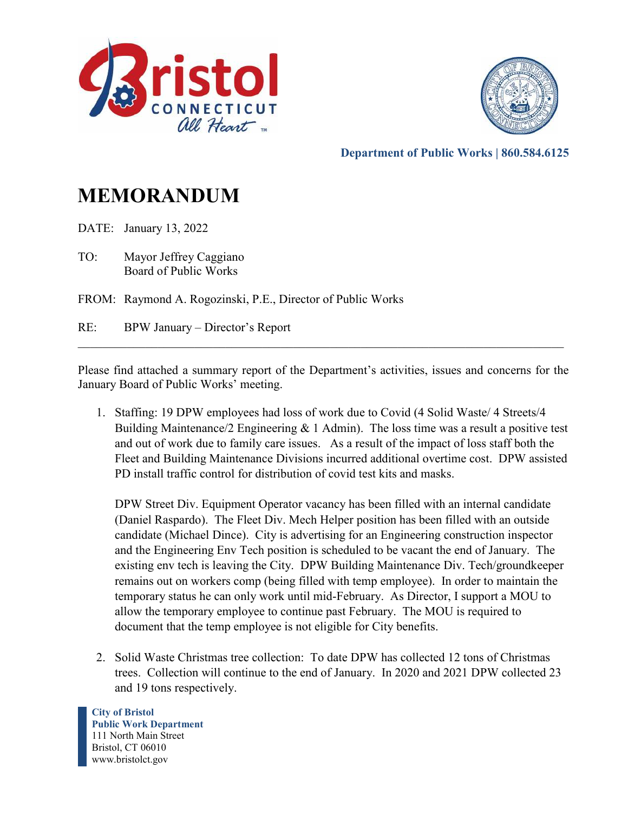



**Department of Public Works | 860.584.6125** 

## **MEMORANDUM**

DATE: January 13, 2022

TO: Mayor Jeffrey Caggiano Board of Public Works

FROM: Raymond A. Rogozinski, P.E., Director of Public Works

RE: BPW January – Director's Report

Please find attached a summary report of the Department's activities, issues and concerns for the January Board of Public Works' meeting.

 $\mathcal{L}_\text{G}$  , and the contribution of the contribution of the contribution of the contribution of the contribution of the contribution of the contribution of the contribution of the contribution of the contribution of t

1. Staffing: 19 DPW employees had loss of work due to Covid (4 Solid Waste/ 4 Streets/4 Building Maintenance/2 Engineering  $& 1$  Admin). The loss time was a result a positive test and out of work due to family care issues. As a result of the impact of loss staff both the Fleet and Building Maintenance Divisions incurred additional overtime cost. DPW assisted PD install traffic control for distribution of covid test kits and masks.

DPW Street Div. Equipment Operator vacancy has been filled with an internal candidate (Daniel Raspardo). The Fleet Div. Mech Helper position has been filled with an outside candidate (Michael Dince). City is advertising for an Engineering construction inspector and the Engineering Env Tech position is scheduled to be vacant the end of January. The existing env tech is leaving the City. DPW Building Maintenance Div. Tech/groundkeeper remains out on workers comp (being filled with temp employee). In order to maintain the temporary status he can only work until mid-February. As Director, I support a MOU to allow the temporary employee to continue past February. The MOU is required to document that the temp employee is not eligible for City benefits.

2. Solid Waste Christmas tree collection: To date DPW has collected 12 tons of Christmas trees. Collection will continue to the end of January. In 2020 and 2021 DPW collected 23 and 19 tons respectively.

**City of Bristol Public Work Department** 111 North Main Street Bristol, CT 06010 www.bristolct.gov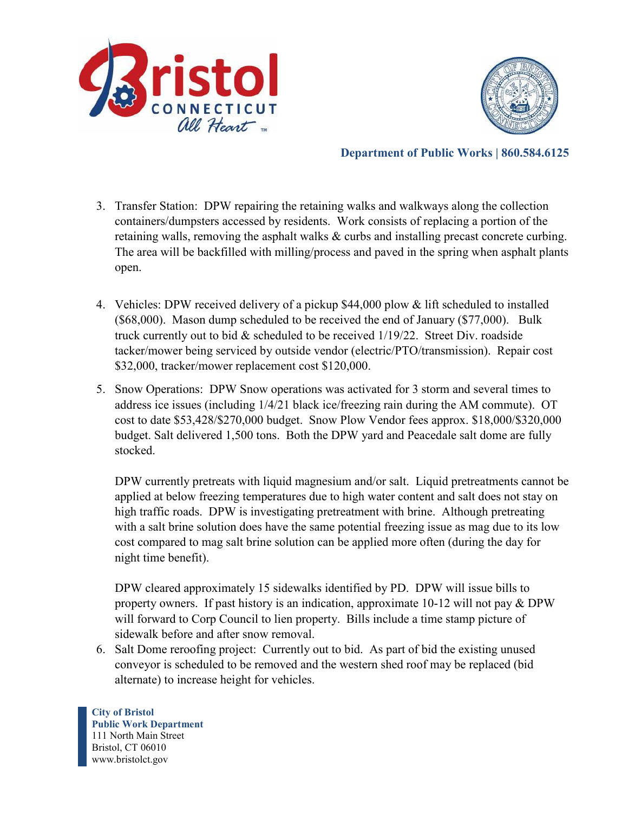



**Department of Public Works | 860.584.6125** 

- 3. Transfer Station: DPW repairing the retaining walks and walkways along the collection containers/dumpsters accessed by residents. Work consists of replacing a portion of the retaining walls, removing the asphalt walks & curbs and installing precast concrete curbing. The area will be backfilled with milling/process and paved in the spring when asphalt plants open.
- 4. Vehicles: DPW received delivery of a pickup \$44,000 plow & lift scheduled to installed (\$68,000). Mason dump scheduled to be received the end of January (\$77,000). Bulk truck currently out to bid  $\&$  scheduled to be received  $1/19/22$ . Street Div. roadside tacker/mower being serviced by outside vendor (electric/PTO/transmission). Repair cost \$32,000, tracker/mower replacement cost \$120,000.
- 5. Snow Operations: DPW Snow operations was activated for 3 storm and several times to address ice issues (including 1/4/21 black ice/freezing rain during the AM commute). OT cost to date \$53,428/\$270,000 budget. Snow Plow Vendor fees approx. \$18,000/\$320,000 budget. Salt delivered 1,500 tons. Both the DPW yard and Peacedale salt dome are fully stocked.

DPW currently pretreats with liquid magnesium and/or salt. Liquid pretreatments cannot be applied at below freezing temperatures due to high water content and salt does not stay on high traffic roads. DPW is investigating pretreatment with brine. Although pretreating with a salt brine solution does have the same potential freezing issue as mag due to its low cost compared to mag salt brine solution can be applied more often (during the day for night time benefit).

DPW cleared approximately 15 sidewalks identified by PD. DPW will issue bills to property owners. If past history is an indication, approximate 10-12 will not pay & DPW will forward to Corp Council to lien property. Bills include a time stamp picture of sidewalk before and after snow removal.

6. Salt Dome reroofing project: Currently out to bid. As part of bid the existing unused conveyor is scheduled to be removed and the western shed roof may be replaced (bid alternate) to increase height for vehicles.

**City of Bristol Public Work Department** 111 North Main Street Bristol, CT 06010 www.bristolct.gov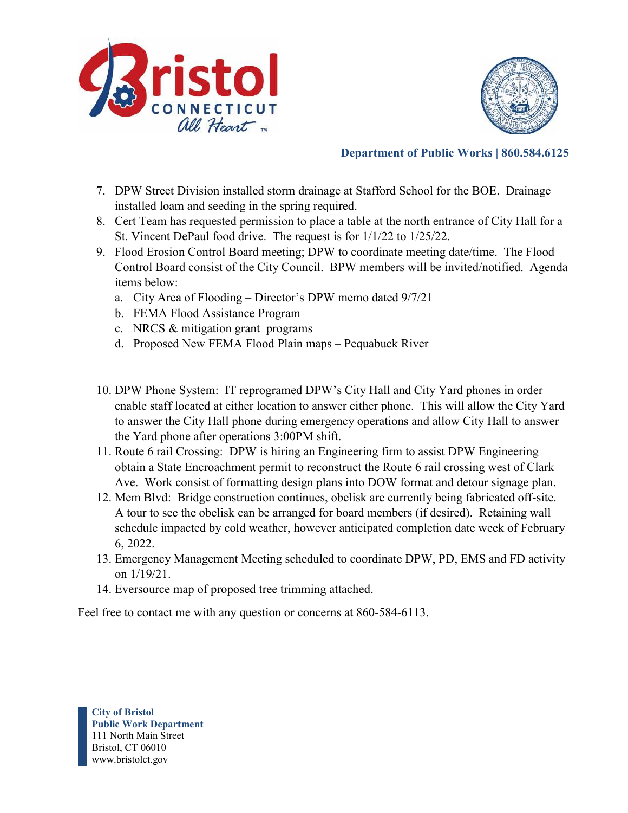



#### **Department of Public Works | 860.584.6125**

- 7. DPW Street Division installed storm drainage at Stafford School for the BOE. Drainage installed loam and seeding in the spring required.
- 8. Cert Team has requested permission to place a table at the north entrance of City Hall for a St. Vincent DePaul food drive. The request is for 1/1/22 to 1/25/22.
- 9. Flood Erosion Control Board meeting; DPW to coordinate meeting date/time. The Flood Control Board consist of the City Council. BPW members will be invited/notified. Agenda items below:
	- a. City Area of Flooding Director's DPW memo dated 9/7/21
	- b. FEMA Flood Assistance Program
	- c. NRCS & mitigation grant programs
	- d. Proposed New FEMA Flood Plain maps Pequabuck River
- 10. DPW Phone System: IT reprogramed DPW's City Hall and City Yard phones in order enable staff located at either location to answer either phone. This will allow the City Yard to answer the City Hall phone during emergency operations and allow City Hall to answer the Yard phone after operations 3:00PM shift.
- 11. Route 6 rail Crossing: DPW is hiring an Engineering firm to assist DPW Engineering obtain a State Encroachment permit to reconstruct the Route 6 rail crossing west of Clark Ave. Work consist of formatting design plans into DOW format and detour signage plan.
- 12. Mem Blvd: Bridge construction continues, obelisk are currently being fabricated off-site. A tour to see the obelisk can be arranged for board members (if desired). Retaining wall schedule impacted by cold weather, however anticipated completion date week of February 6, 2022.
- 13. Emergency Management Meeting scheduled to coordinate DPW, PD, EMS and FD activity on 1/19/21.
- 14. Eversource map of proposed tree trimming attached.

Feel free to contact me with any question or concerns at 860-584-6113.

**City of Bristol Public Work Department** 111 North Main Street Bristol, CT 06010 www.bristolct.gov